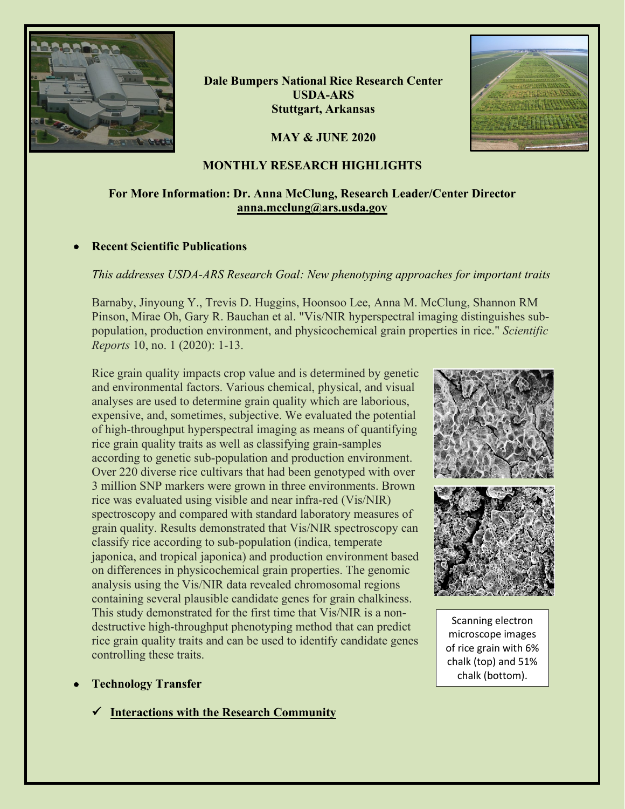

**Dale Bumpers National Rice Research Center USDA-ARS Stuttgart, Arkansas**

**MAY & JUNE 2020**



## **MONTHLY RESEARCH HIGHLIGHTS**

# **For More Information: Dr. Anna McClung, Research Leader/Center Director [anna.mcclung@ars.usda.gov](mailto:anna.mcclung@ars.usda.gov)**

## • **Recent Scientific Publications**

## *This addresses USDA-ARS Research Goal: New phenotyping approaches for important traits*

Barnaby, Jinyoung Y., Trevis D. Huggins, Hoonsoo Lee, Anna M. McClung, Shannon RM Pinson, Mirae Oh, Gary R. Bauchan et al. "Vis/NIR hyperspectral imaging distinguishes subpopulation, production environment, and physicochemical grain properties in rice." *Scientific Reports* 10, no. 1 (2020): 1-13.

Rice grain quality impacts crop value and is determined by genetic and environmental factors. Various chemical, physical, and visual analyses are used to determine grain quality which are laborious, expensive, and, sometimes, subjective. We evaluated the potential of high-throughput hyperspectral imaging as means of quantifying rice grain quality traits as well as classifying grain-samples according to genetic sub-population and production environment. Over 220 diverse rice cultivars that had been genotyped with over 3 million SNP markers were grown in three environments. Brown rice was evaluated using visible and near infra-red (Vis/NIR) spectroscopy and compared with standard laboratory measures of grain quality. Results demonstrated that Vis/NIR spectroscopy can classify rice according to sub-population (indica, temperate japonica, and tropical japonica) and production environment based on differences in physicochemical grain properties. The genomic analysis using the Vis/NIR data revealed chromosomal regions containing several plausible candidate genes for grain chalkiness. This study demonstrated for the first time that Vis/NIR is a nondestructive high-throughput phenotyping method that can predict rice grain quality traits and can be used to identify candidate genes controlling these traits.

- **Technology Transfer**
	- **Interactions with the Research Community**



Scanning electron microscope images of rice grain with 6% chalk (top) and 51% chalk (bottom).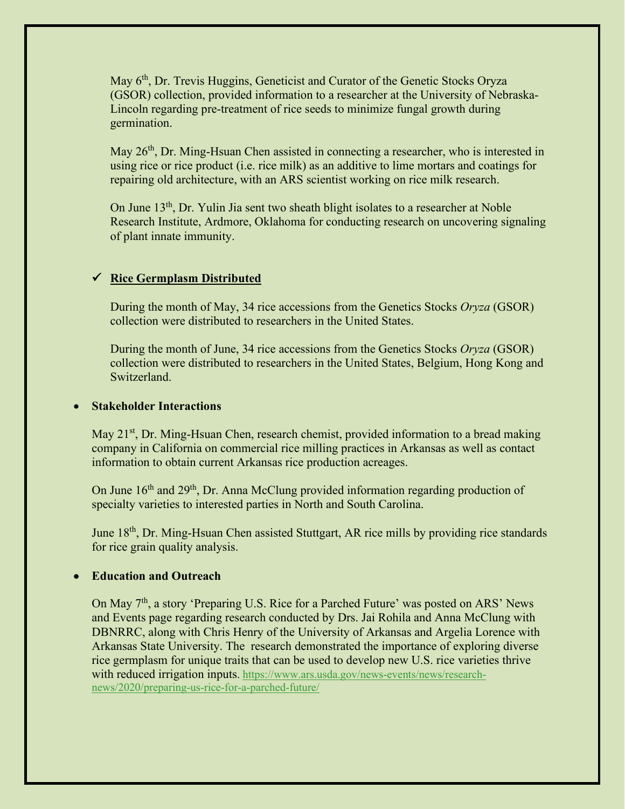May 6<sup>th</sup>, Dr. Trevis Huggins, Geneticist and Curator of the Genetic Stocks Oryza (GSOR) collection, provided information to a researcher at the University of Nebraska-Lincoln regarding pre-treatment of rice seeds to minimize fungal growth during germination.

May  $26<sup>th</sup>$ , Dr. Ming-Hsuan Chen assisted in connecting a researcher, who is interested in using rice or rice product (i.e. rice milk) as an additive to lime mortars and coatings for repairing old architecture, with an ARS scientist working on rice milk research.

On June 13<sup>th</sup>, Dr. Yulin Jia sent two sheath blight isolates to a researcher at Noble Research Institute, Ardmore, Oklahoma for conducting research on uncovering signaling of plant innate immunity.

## **Rice Germplasm Distributed**

During the month of May, 34 rice accessions from the Genetics Stocks *Oryza* (GSOR) collection were distributed to researchers in the United States.

During the month of June, 34 rice accessions from the Genetics Stocks *Oryza* (GSOR) collection were distributed to researchers in the United States, Belgium, Hong Kong and Switzerland.

### • **Stakeholder Interactions**

May 21<sup>st</sup>, Dr. Ming-Hsuan Chen, research chemist, provided information to a bread making company in California on commercial rice milling practices in Arkansas as well as contact information to obtain current Arkansas rice production acreages.

On June 16<sup>th</sup> and 29<sup>th</sup>, Dr. Anna McClung provided information regarding production of specialty varieties to interested parties in North and South Carolina.

June 18<sup>th</sup>, Dr. Ming-Hsuan Chen assisted Stuttgart, AR rice mills by providing rice standards for rice grain quality analysis.

#### • **Education and Outreach**

On May 7<sup>th</sup>, a story 'Preparing U.S. Rice for a Parched Future' was posted on ARS' News and Events page regarding research conducted by Drs. Jai Rohila and Anna McClung with DBNRRC, along with Chris Henry of the University of Arkansas and Argelia Lorence with Arkansas State University. The research demonstrated the importance of exploring diverse rice germplasm for unique traits that can be used to develop new U.S. rice varieties thrive with reduced irrigation inputs. [https://www.ars.usda.gov/news-events/news/research](https://gcc02.safelinks.protection.outlook.com/?url=https%3A%2F%2Fwww.ars.usda.gov%2Fnews-events%2Fnews%2Fresearch-news%2F2020%2Fpreparing-us-rice-for-a-parched-future%2F&data=02%7C01%7C%7C578876124a27435fd17408d808a36f36%7Ced5b36e701ee4ebc867ee03cfa0d4697%7C0%7C0%7C637268845317794658&sdata=yArmLq7y2Ic8oQ9ZCQKIaKxUh10qZDCjq70IZiMxOJ8%3D&reserved=0)[news/2020/preparing-us-rice-for-a-parched-future/](https://gcc02.safelinks.protection.outlook.com/?url=https%3A%2F%2Fwww.ars.usda.gov%2Fnews-events%2Fnews%2Fresearch-news%2F2020%2Fpreparing-us-rice-for-a-parched-future%2F&data=02%7C01%7C%7C578876124a27435fd17408d808a36f36%7Ced5b36e701ee4ebc867ee03cfa0d4697%7C0%7C0%7C637268845317794658&sdata=yArmLq7y2Ic8oQ9ZCQKIaKxUh10qZDCjq70IZiMxOJ8%3D&reserved=0)